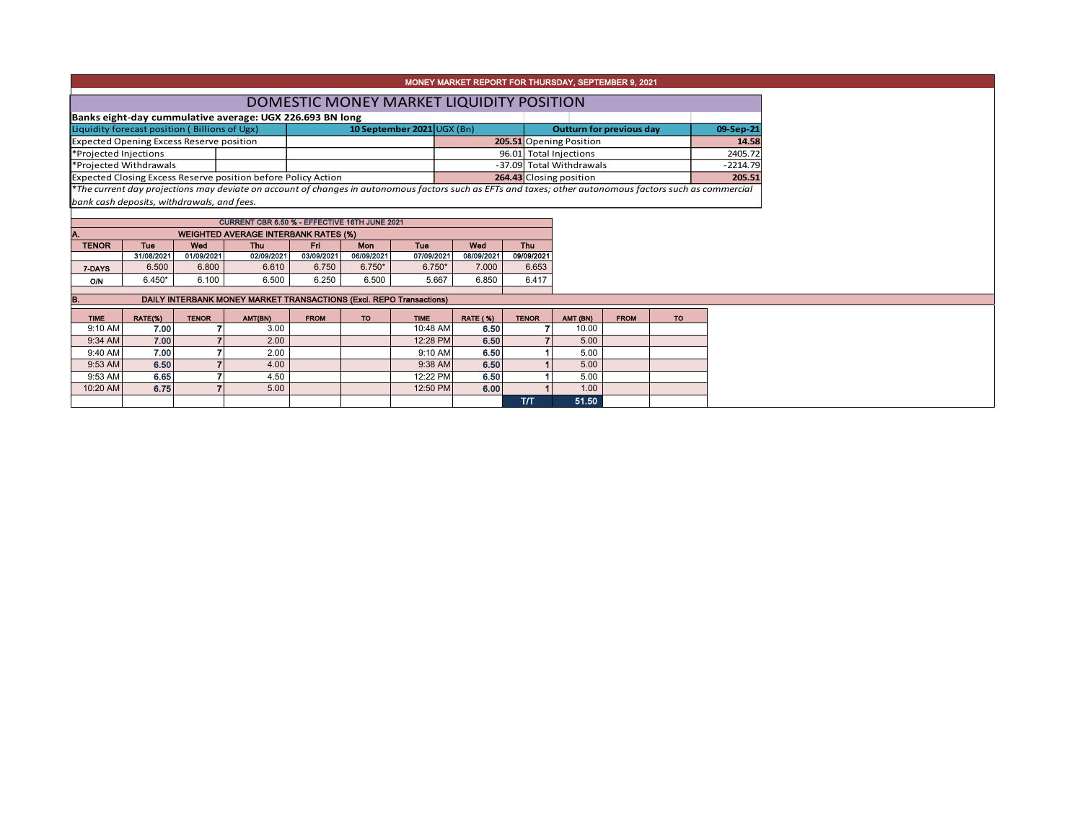| MONEY MARKET REPORT FOR THURSDAY, SEPTEMBER 9, 2021                                                                                      |                        |                                                 |                                                                                                                                                          |                                 |            |                            |                                          |                                   |                          |             |            |       |  |  |  |
|------------------------------------------------------------------------------------------------------------------------------------------|------------------------|-------------------------------------------------|----------------------------------------------------------------------------------------------------------------------------------------------------------|---------------------------------|------------|----------------------------|------------------------------------------|-----------------------------------|--------------------------|-------------|------------|-------|--|--|--|
|                                                                                                                                          |                        |                                                 |                                                                                                                                                          |                                 |            |                            | DOMESTIC MONEY MARKET LIQUIDITY POSITION |                                   |                          |             |            |       |  |  |  |
|                                                                                                                                          |                        |                                                 | Banks eight-day cummulative average: UGX 226.693 BN long                                                                                                 |                                 |            |                            |                                          |                                   |                          |             |            |       |  |  |  |
|                                                                                                                                          |                        | Liquidity forecast position (Billions of Ugx)   |                                                                                                                                                          | <b>Outturn for previous day</b> |            |                            | 09-Sep-21                                |                                   |                          |             |            |       |  |  |  |
|                                                                                                                                          |                        | <b>Expected Opening Excess Reserve position</b> |                                                                                                                                                          |                                 |            | 10 September 2021 UGX (Bn) |                                          |                                   | 205.51 Opening Position  |             |            | 14.58 |  |  |  |
| *Projected Injections                                                                                                                    |                        |                                                 |                                                                                                                                                          |                                 |            |                            |                                          | 96.01 Total Injections            |                          |             | 2405.72    |       |  |  |  |
|                                                                                                                                          | *Projected Withdrawals |                                                 |                                                                                                                                                          |                                 |            |                            |                                          |                                   | -37.09 Total Withdrawals |             | $-2214.79$ |       |  |  |  |
| Expected Closing Excess Reserve position before Policy Action                                                                            |                        |                                                 |                                                                                                                                                          |                                 |            |                            |                                          | 264.43 Closing position<br>205.51 |                          |             |            |       |  |  |  |
|                                                                                                                                          |                        |                                                 | *The current day projections may deviate on account of changes in autonomous factors such as EFTs and taxes; other autonomous factors such as commercial |                                 |            |                            |                                          |                                   |                          |             |            |       |  |  |  |
|                                                                                                                                          |                        | bank cash deposits, withdrawals, and fees.      |                                                                                                                                                          |                                 |            |                            |                                          |                                   |                          |             |            |       |  |  |  |
|                                                                                                                                          |                        |                                                 | CURRENT CBR 6.50 % - EFFECTIVE 16TH JUNE 2021                                                                                                            |                                 |            |                            |                                          |                                   |                          |             |            |       |  |  |  |
| A.                                                                                                                                       |                        |                                                 |                                                                                                                                                          |                                 |            |                            |                                          |                                   |                          |             |            |       |  |  |  |
| <b>WEIGHTED AVERAGE INTERBANK RATES (%)</b><br><b>Thu</b><br><b>TENOR</b><br>Tue<br>Fri<br>Tue<br>Wed<br>Wed<br><b>Thu</b><br><b>Mon</b> |                        |                                                 |                                                                                                                                                          |                                 |            |                            |                                          |                                   |                          |             |            |       |  |  |  |
|                                                                                                                                          | 31/08/2021             | 01/09/2021                                      | 02/09/2021                                                                                                                                               | 03/09/2021                      | 06/09/2021 | 07/09/2021                 | 08/09/2021                               | 09/09/2021                        |                          |             |            |       |  |  |  |
| 7-DAYS                                                                                                                                   | 6.500                  | 6.800                                           | 6.610                                                                                                                                                    | 6.750                           | $6.750*$   | $6.750*$                   | 7.000                                    | 6.653                             |                          |             |            |       |  |  |  |
| <b>O/N</b>                                                                                                                               | $6.450*$               | 6.100                                           | 6.500                                                                                                                                                    | 6.250                           | 6.500      | 5.667                      | 6.850                                    | 6.417                             |                          |             |            |       |  |  |  |
| DAILY INTERBANK MONEY MARKET TRANSACTIONS (Excl. REPO Transactions)                                                                      |                        |                                                 |                                                                                                                                                          |                                 |            |                            |                                          |                                   |                          |             |            |       |  |  |  |
| в.                                                                                                                                       |                        |                                                 |                                                                                                                                                          |                                 |            |                            |                                          |                                   |                          |             |            |       |  |  |  |
| <b>TIME</b>                                                                                                                              | RATE(%)                | <b>TENOR</b>                                    | AMT(BN)                                                                                                                                                  | <b>FROM</b>                     | <b>TO</b>  | <b>TIME</b>                | <b>RATE (%)</b>                          | <b>TENOR</b>                      | AMT (BN)                 | <b>FROM</b> | <b>TO</b>  |       |  |  |  |
| 9:10 AM                                                                                                                                  | 7.00                   |                                                 | 3.00                                                                                                                                                     |                                 |            | 10:48 AM                   | 6.50                                     |                                   | 10.00                    |             |            |       |  |  |  |
| 9:34 AM                                                                                                                                  | 7.00                   |                                                 | 2.00                                                                                                                                                     |                                 |            | 12:28 PM                   | 6.50                                     |                                   | 5.00                     |             |            |       |  |  |  |
| 9:40 AM                                                                                                                                  | 7.00                   |                                                 | 2.00                                                                                                                                                     |                                 |            | 9:10 AM                    | 6.50                                     |                                   | 5.00                     |             |            |       |  |  |  |
| 9:53 AM                                                                                                                                  | 6.50                   |                                                 | 4.00                                                                                                                                                     |                                 |            | 9:38 AM                    | 6.50                                     |                                   | 5.00                     |             |            |       |  |  |  |
| 9:53 AM                                                                                                                                  | 6.65                   |                                                 | 4.50                                                                                                                                                     |                                 |            | 12:22 PM                   | 6.50                                     |                                   | 5.00                     |             |            |       |  |  |  |
| 10:20 AM                                                                                                                                 | 6.75                   |                                                 | 5.00                                                                                                                                                     |                                 |            | 12:50 PM                   | 6.00                                     |                                   | 1.00                     |             |            |       |  |  |  |
|                                                                                                                                          |                        |                                                 |                                                                                                                                                          |                                 |            |                            |                                          | <b>T/T</b>                        | 51.50                    |             |            |       |  |  |  |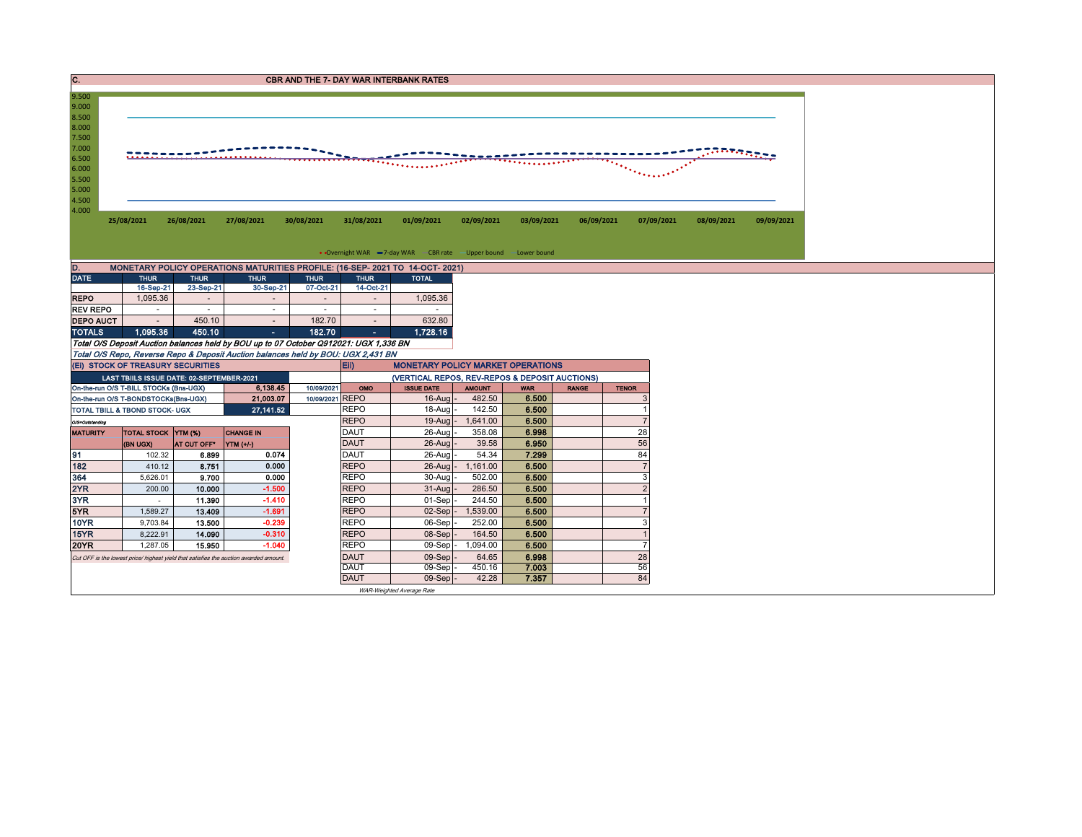| IC.                                                |                                                                                                                                                                                                                                                                                                                                                                                                                                                                               |                          |                                                                                       |                          |                            | <b>CBR AND THE 7- DAY WAR INTERBANK RATES</b>                                 |                    |                |              |                |                          |            |  |
|----------------------------------------------------|-------------------------------------------------------------------------------------------------------------------------------------------------------------------------------------------------------------------------------------------------------------------------------------------------------------------------------------------------------------------------------------------------------------------------------------------------------------------------------|--------------------------|---------------------------------------------------------------------------------------|--------------------------|----------------------------|-------------------------------------------------------------------------------|--------------------|----------------|--------------|----------------|--------------------------|------------|--|
| 9.500<br>9.000<br>8.500<br>8.000<br>7.500<br>7.000 |                                                                                                                                                                                                                                                                                                                                                                                                                                                                               |                          |                                                                                       |                          |                            |                                                                               |                    |                |              |                |                          |            |  |
| 6.500<br>6.000<br>5.500<br>5.000<br>4.500<br>4.000 | $\frac{1}{2} \frac{1}{2} \frac{1}{2} \frac{1}{2} \frac{1}{2} \frac{1}{2} \frac{1}{2} \frac{1}{2} \frac{1}{2} \frac{1}{2} \frac{1}{2} \frac{1}{2} \frac{1}{2} \frac{1}{2} \frac{1}{2} \frac{1}{2} \frac{1}{2} \frac{1}{2} \frac{1}{2} \frac{1}{2} \frac{1}{2} \frac{1}{2} \frac{1}{2} \frac{1}{2} \frac{1}{2} \frac{1}{2} \frac{1}{2} \frac{1}{2} \frac{1}{2} \frac{1}{2} \frac{1}{2} \frac{$<br>$\mathcal{D}_{\mathcal{D}_{\mathcal{F}}\mathcal{F}_{\mathcal{F}}\mathcal{F}}$ |                          |                                                                                       |                          |                            |                                                                               |                    |                |              |                |                          |            |  |
|                                                    | 25/08/2021                                                                                                                                                                                                                                                                                                                                                                                                                                                                    | 26/08/2021               | 27/08/2021                                                                            | 30/08/2021               | 31/08/2021                 | 01/09/2021                                                                    | 02/09/2021         | 03/09/2021     |              | 06/09/2021     | 07/09/2021<br>08/09/2021 | 09/09/2021 |  |
|                                                    |                                                                                                                                                                                                                                                                                                                                                                                                                                                                               |                          |                                                                                       |                          |                            |                                                                               |                    |                |              |                |                          |            |  |
|                                                    |                                                                                                                                                                                                                                                                                                                                                                                                                                                                               |                          |                                                                                       |                          |                            | • Overnight WAR -7-day WAR - CBR rate -Upper bound -Lower bound               |                    |                |              |                |                          |            |  |
| D.                                                 |                                                                                                                                                                                                                                                                                                                                                                                                                                                                               |                          |                                                                                       |                          |                            | MONETARY POLICY OPERATIONS MATURITIES PROFILE: (16-SEP- 2021 TO 14-OCT- 2021) |                    |                |              |                |                          |            |  |
| <b>DATE</b>                                        | <b>THUR</b><br>16-Sep-21                                                                                                                                                                                                                                                                                                                                                                                                                                                      | <b>THUR</b><br>23-Sep-21 | <b>THUR</b><br>30-Sep-21                                                              | <b>THUR</b><br>07-Oct-21 | <b>THUR</b><br>14-Oct-21   | <b>TOTAL</b>                                                                  |                    |                |              |                |                          |            |  |
| <b>REPO</b>                                        | 1,095.36                                                                                                                                                                                                                                                                                                                                                                                                                                                                      | $\overline{a}$           |                                                                                       | $\sim$                   | $\sim$                     | 1,095.36                                                                      |                    |                |              |                |                          |            |  |
| <b>REV REPO</b>                                    | $\sim$                                                                                                                                                                                                                                                                                                                                                                                                                                                                        | $\sim$                   | ٠                                                                                     | $\sim$                   | $\sim$                     |                                                                               |                    |                |              |                |                          |            |  |
| <b>DEPO AUCT</b>                                   | $\overline{\phantom{a}}$                                                                                                                                                                                                                                                                                                                                                                                                                                                      | 450.10                   | $\sim$                                                                                | 182.70                   |                            | 632.80                                                                        |                    |                |              |                |                          |            |  |
| <b>TOTALS</b>                                      | 1,095.36                                                                                                                                                                                                                                                                                                                                                                                                                                                                      | 450.10                   | $\sim 100$                                                                            | 182.70                   |                            |                                                                               |                    |                |              |                |                          |            |  |
|                                                    |                                                                                                                                                                                                                                                                                                                                                                                                                                                                               |                          | Total O/S Deposit Auction balances held by BOU up to 07 October Q912021: UGX 1,336 BN |                          |                            | 1,728.16                                                                      |                    |                |              |                |                          |            |  |
|                                                    |                                                                                                                                                                                                                                                                                                                                                                                                                                                                               |                          | Total O/S Repo, Reverse Repo & Deposit Auction balances held by BOU: UGX 2,431 BN     |                          |                            |                                                                               |                    |                |              |                |                          |            |  |
|                                                    | (EI) STOCK OF TREASURY SECURITIES                                                                                                                                                                                                                                                                                                                                                                                                                                             |                          |                                                                                       |                          | E(i)                       | <b>MONETARY POLICY MARKET OPERATIONS</b>                                      |                    |                |              |                |                          |            |  |
|                                                    | LAST TBIILS ISSUE DATE: 02-SEPTEMBER-2021                                                                                                                                                                                                                                                                                                                                                                                                                                     |                          |                                                                                       |                          |                            | (VERTICAL REPOS, REV-REPOS & DEPOSIT AUCTIONS)                                |                    |                |              |                |                          |            |  |
|                                                    | On-the-run O/S T-BILL STOCKs (Bns-UGX)                                                                                                                                                                                                                                                                                                                                                                                                                                        |                          | 6,138.45                                                                              | 10/09/2021               | OMO                        | <b>ISSUE DATE</b>                                                             | <b>AMOUNT</b>      | <b>WAR</b>     | <b>RANGE</b> | <b>TENOR</b>   |                          |            |  |
| On-the-run O/S T-BONDSTOCKs(Bns-UGX)<br>21,003.07  |                                                                                                                                                                                                                                                                                                                                                                                                                                                                               |                          |                                                                                       | 10/09/2021 REPO          |                            | $16$ -Aug                                                                     | 482.50             | 6.500          |              |                |                          |            |  |
| 27, 141.52<br>TOTAL TBILL & TBOND STOCK- UGX       |                                                                                                                                                                                                                                                                                                                                                                                                                                                                               |                          |                                                                                       |                          | <b>REPO</b>                | 18-Aug                                                                        | 142.50             | 6.500          |              |                |                          |            |  |
| O/S=Outstanding                                    |                                                                                                                                                                                                                                                                                                                                                                                                                                                                               |                          |                                                                                       |                          | <b>REPO</b>                | $19-Auq$                                                                      | 1,641.00           | 6.500          |              | $\overline{7}$ |                          |            |  |
| <b>MATURITY</b>                                    | <b>TOTAL STOCK YTM (%)</b>                                                                                                                                                                                                                                                                                                                                                                                                                                                    |                          | <b>CHANGE IN</b>                                                                      |                          | <b>DAUT</b>                | 26-Aug                                                                        | 358.08             | 6.998          |              | 28             |                          |            |  |
|                                                    | (BN UGX)                                                                                                                                                                                                                                                                                                                                                                                                                                                                      | AT CUT OFF*              | YTM (+/-)                                                                             |                          | <b>DAUT</b><br><b>DAUT</b> | 26-Aug                                                                        | 39.58<br>54.34     | 6.950<br>7.299 |              | 56             |                          |            |  |
| 91<br>182                                          | 102.32                                                                                                                                                                                                                                                                                                                                                                                                                                                                        | 6.899                    | 0.074<br>0.000                                                                        |                          | <b>REPO</b>                | 26-Aug<br>26-Aug                                                              |                    |                |              | 84             |                          |            |  |
| 364                                                | 410.12<br>5,626.01                                                                                                                                                                                                                                                                                                                                                                                                                                                            | 8.751<br>9.700           | 0.000                                                                                 |                          | <b>REPO</b>                | 30-Aug                                                                        | 1,161.00<br>502.00 | 6.500<br>6.500 |              | 3              |                          |            |  |
| 2YR                                                | 200.00                                                                                                                                                                                                                                                                                                                                                                                                                                                                        | 10.000                   | $-1.500$                                                                              |                          | <b>REPO</b>                | $31 - A$ ua                                                                   | 286.50             | 6.500          |              | $\overline{2}$ |                          |            |  |
| 3YR                                                | $\sim$                                                                                                                                                                                                                                                                                                                                                                                                                                                                        | 11.390                   | $-1.410$                                                                              |                          | <b>REPO</b>                | 01-Sep                                                                        | 244.50             | 6.500          |              |                |                          |            |  |
| 5YR                                                | 1,589.27                                                                                                                                                                                                                                                                                                                                                                                                                                                                      | 13.409                   | $-1.691$                                                                              |                          | <b>REPO</b>                | $02-Sep$                                                                      | 1,539.00           | 6.500          |              |                |                          |            |  |
| <b>10YR</b>                                        | 9,703.84                                                                                                                                                                                                                                                                                                                                                                                                                                                                      | 13.500                   | $-0.239$                                                                              |                          | <b>REPO</b>                | 06-Sep                                                                        | 252.00             | 6.500          |              | 3              |                          |            |  |
| 15YR                                               | 8,222.91                                                                                                                                                                                                                                                                                                                                                                                                                                                                      | 14.090                   | $-0.310$                                                                              |                          | <b>REPO</b>                | 08-Sep                                                                        | 164.50             | 6.500          |              | $\overline{1}$ |                          |            |  |
| <b>20YR</b>                                        | 1.287.05                                                                                                                                                                                                                                                                                                                                                                                                                                                                      | 15.950                   | $-1.040$                                                                              |                          | <b>REPO</b>                | 09-Sep                                                                        | 1,094.00           | 6.500          |              | $\overline{7}$ |                          |            |  |
|                                                    |                                                                                                                                                                                                                                                                                                                                                                                                                                                                               |                          | Cut OFF is the lowest price/ highest yield that satisfies the auction awarded amount. |                          | <b>DAUT</b>                | 09-Sep                                                                        | 64.65              | 6.998          |              | 28             |                          |            |  |
|                                                    |                                                                                                                                                                                                                                                                                                                                                                                                                                                                               |                          |                                                                                       |                          | <b>DAUT</b>                | 09-Sep                                                                        | 450.16             | 7.003          |              | 56             |                          |            |  |
|                                                    |                                                                                                                                                                                                                                                                                                                                                                                                                                                                               |                          |                                                                                       |                          | <b>DAUT</b>                | $09-Sep$                                                                      | 42.28              | 7.357          |              | 84             |                          |            |  |
|                                                    |                                                                                                                                                                                                                                                                                                                                                                                                                                                                               |                          |                                                                                       |                          |                            | WAR-Weighted Average Rate                                                     |                    |                |              |                |                          |            |  |